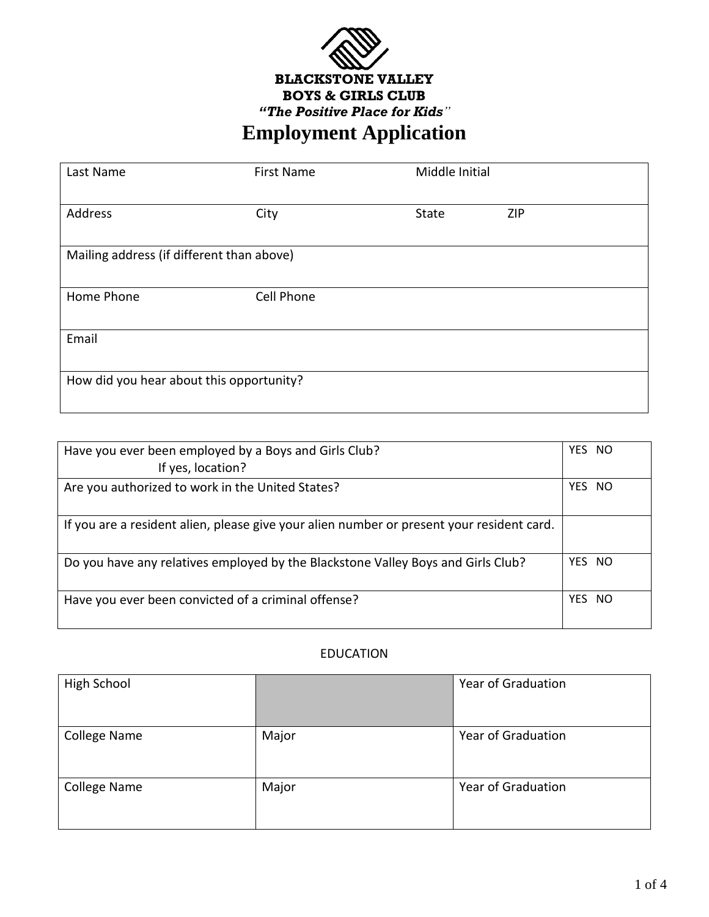

# **Employment Application**

| Last Name                                 | <b>First Name</b> | Middle Initial |            |
|-------------------------------------------|-------------------|----------------|------------|
| Address                                   | City              | State          | <b>ZIP</b> |
| Mailing address (if different than above) |                   |                |            |
| Home Phone                                | Cell Phone        |                |            |
| Email                                     |                   |                |            |
| How did you hear about this opportunity?  |                   |                |            |

| Have you ever been employed by a Boys and Girls Club?                                     | YES NO      |
|-------------------------------------------------------------------------------------------|-------------|
| If yes, location?                                                                         |             |
| Are you authorized to work in the United States?                                          | YES.<br>NO. |
| If you are a resident alien, please give your alien number or present your resident card. |             |
| Do you have any relatives employed by the Blackstone Valley Boys and Girls Club?          | YES NO      |
| Have you ever been convicted of a criminal offense?                                       | YES NO      |

#### EDUCATION

| High School  |       | <b>Year of Graduation</b> |
|--------------|-------|---------------------------|
| College Name | Major | <b>Year of Graduation</b> |
| College Name | Major | <b>Year of Graduation</b> |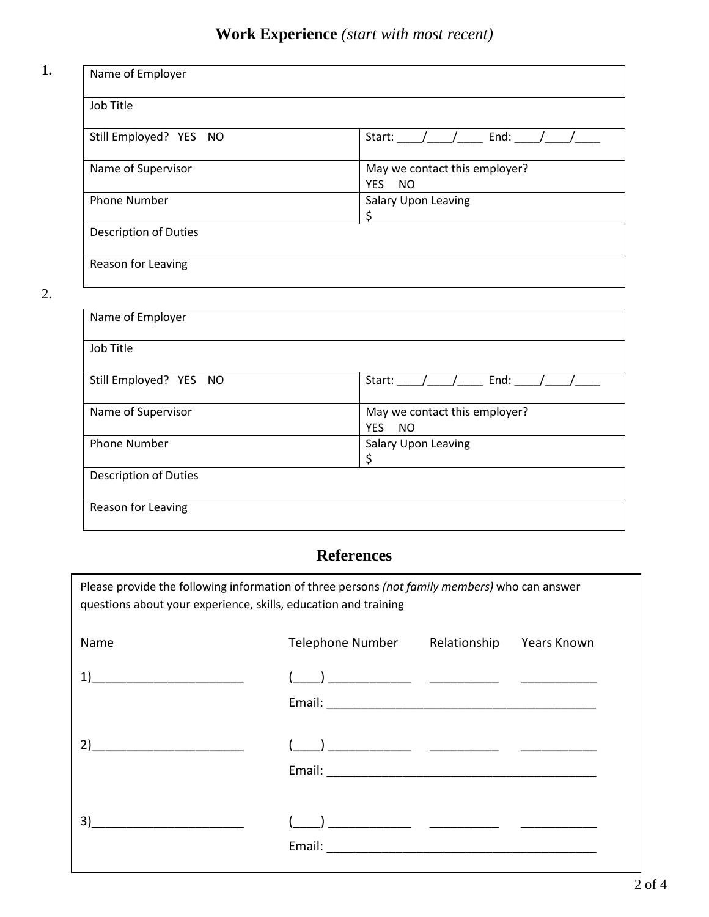## **Work Experience** *(start with most recent)*

#### **1.**

| Name of Employer       |                                                   |
|------------------------|---------------------------------------------------|
| Job Title              |                                                   |
| Still Employed? YES NO | End: $/$<br>Start: $\frac{1}{\sqrt{2}}$           |
| Name of Supervisor     | May we contact this employer?<br><b>YES</b><br>NO |
| <b>Phone Number</b>    | Salary Upon Leaving<br>\$                         |
| Description of Duties  |                                                   |
| Reason for Leaving     |                                                   |

2.

| Name of Employer             |                                                          |
|------------------------------|----------------------------------------------------------|
| Job Title                    |                                                          |
| Still Employed? YES NO       | End:<br>Start:                                           |
| Name of Supervisor           | May we contact this employer?<br><b>YES</b><br><b>NO</b> |
| <b>Phone Number</b>          | <b>Salary Upon Leaving</b><br>\$                         |
| <b>Description of Duties</b> |                                                          |
| Reason for Leaving           |                                                          |

### **References**

Please provide the following information of three persons *(not family members)* who can answer questions about your experience, skills, education and training

| Name | Telephone Number | Relationship Years Known |  |
|------|------------------|--------------------------|--|
|      |                  |                          |  |
|      |                  |                          |  |
| 2)   |                  |                          |  |
|      |                  |                          |  |
| 3)   |                  |                          |  |
|      |                  |                          |  |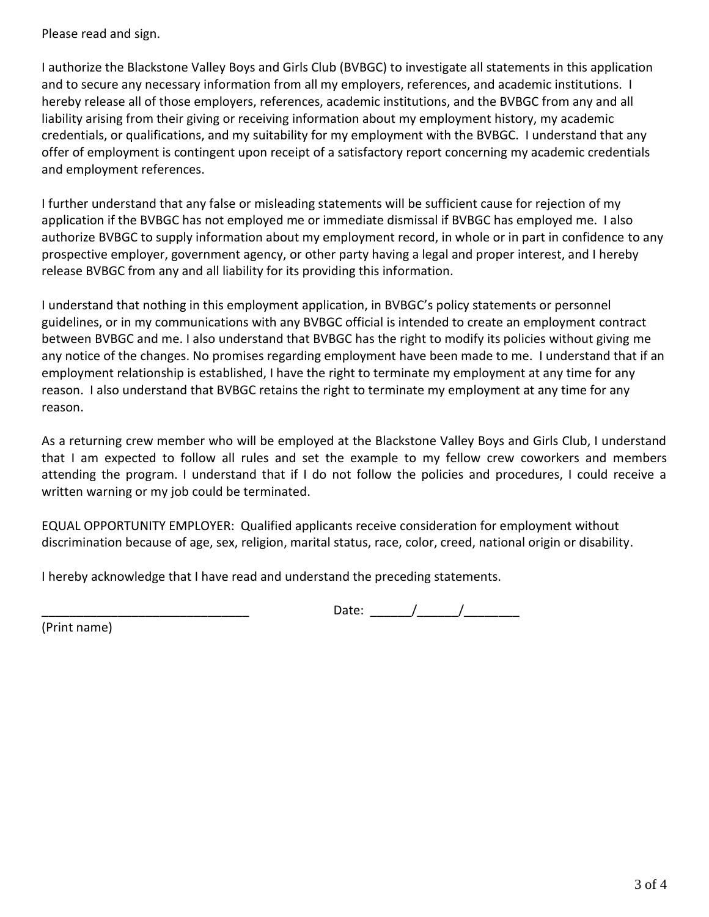Please read and sign.

I authorize the Blackstone Valley Boys and Girls Club (BVBGC) to investigate all statements in this application and to secure any necessary information from all my employers, references, and academic institutions. I hereby release all of those employers, references, academic institutions, and the BVBGC from any and all liability arising from their giving or receiving information about my employment history, my academic credentials, or qualifications, and my suitability for my employment with the BVBGC. I understand that any offer of employment is contingent upon receipt of a satisfactory report concerning my academic credentials and employment references.

I further understand that any false or misleading statements will be sufficient cause for rejection of my application if the BVBGC has not employed me or immediate dismissal if BVBGC has employed me. I also authorize BVBGC to supply information about my employment record, in whole or in part in confidence to any prospective employer, government agency, or other party having a legal and proper interest, and I hereby release BVBGC from any and all liability for its providing this information.

I understand that nothing in this employment application, in BVBGC's policy statements or personnel guidelines, or in my communications with any BVBGC official is intended to create an employment contract between BVBGC and me. I also understand that BVBGC has the right to modify its policies without giving me any notice of the changes. No promises regarding employment have been made to me. I understand that if an employment relationship is established, I have the right to terminate my employment at any time for any reason. I also understand that BVBGC retains the right to terminate my employment at any time for any reason.

As a returning crew member who will be employed at the Blackstone Valley Boys and Girls Club, I understand that I am expected to follow all rules and set the example to my fellow crew coworkers and members attending the program. I understand that if I do not follow the policies and procedures, I could receive a written warning or my job could be terminated.

EQUAL OPPORTUNITY EMPLOYER: Qualified applicants receive consideration for employment without discrimination because of age, sex, religion, marital status, race, color, creed, national origin or disability.

I hereby acknowledge that I have read and understand the preceding statements.

\_\_\_\_\_\_\_\_\_\_\_\_\_\_\_\_\_\_\_\_\_\_\_\_\_\_\_\_\_\_ Date: \_\_\_\_\_\_/\_\_\_\_\_\_/\_\_\_\_\_\_\_\_

(Print name)